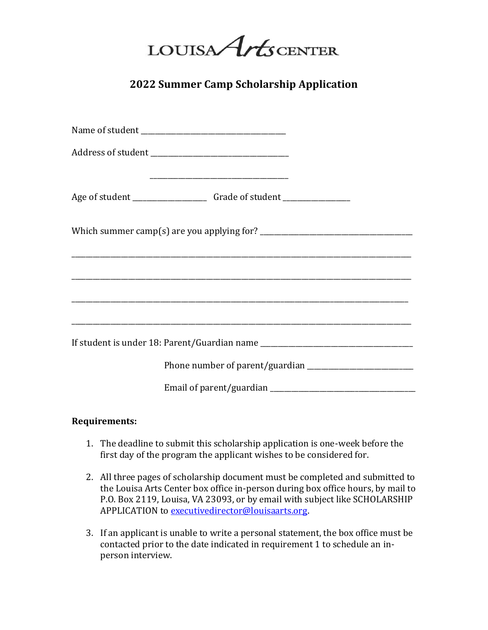LOUISA Arts CENTER

**2022 Summer Camp Scholarship Application**

| Address of student ___________________________________                           |  |
|----------------------------------------------------------------------------------|--|
|                                                                                  |  |
| Age of student ___________________________Grade of student _____________________ |  |
|                                                                                  |  |
|                                                                                  |  |
|                                                                                  |  |
|                                                                                  |  |
| If student is under 18: Parent/Guardian name ___________________________________ |  |
|                                                                                  |  |
|                                                                                  |  |

## **Requirements:**

- 1. The deadline to submit this scholarship application is one-week before the first day of the program the applicant wishes to be considered for.
- 2. All three pages of scholarship document must be completed and submitted to the Louisa Arts Center box office in-person during box office hours, by mail to P.O. Box 2119, Louisa, VA 23093, or by email with subject like SCHOLARSHIP APPLICATION to [executivedirector@louisaarts.org.](mailto:executivedirector@louisaarts.org)
- 3. If an applicant is unable to write a personal statement, the box office must be contacted prior to the date indicated in requirement 1 to schedule an inperson interview.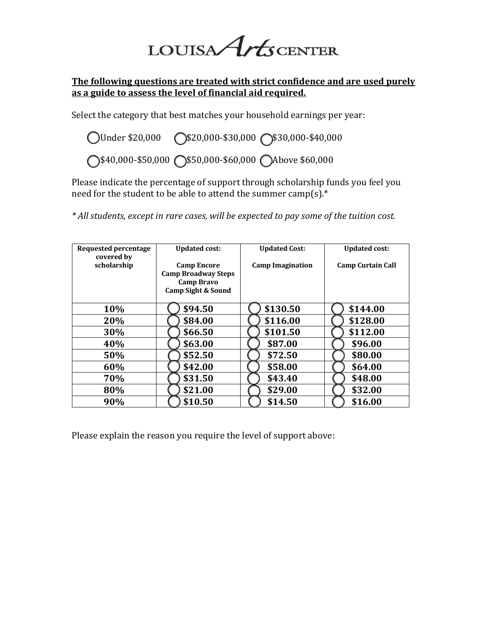LOUISA Arts CENTER

## **The following questions are treated with strict confidence and are used purely as a guide to assess the level of financial aid required.**

Select the category that best matches your household earnings per year:

◯Under \$20,000 (\$20,000-\$30,000 \$30,000-\$40,000 ◯\$40,000-\$50,000 ()\$50,000-\$60,000 ()Above \$60,000

Please indicate the percentage of support through scholarship funds you feel you need for the student to be able to attend the summer camp(s).\*

*\* All students, except in rare cases, will be expected to pay some of the tuition cost.*

| <b>Requested percentage</b><br>covered by | <b>Updated cost:</b>       | <b>Updated Cost:</b>    | <b>Updated cost:</b>     |
|-------------------------------------------|----------------------------|-------------------------|--------------------------|
| scholarship                               | <b>Camp Encore</b>         | <b>Camp Imagination</b> | <b>Camp Curtain Call</b> |
|                                           | <b>Camp Broadway Steps</b> |                         |                          |
|                                           | <b>Camp Bravo</b>          |                         |                          |
|                                           | Camp Sight & Sound         |                         |                          |
| 10%                                       | \$94.50                    | \$130.50                | \$144.00                 |
| 20%                                       | \$84.00                    | \$116.00                | \$128.00                 |
| 30%                                       | \$66.50                    | \$101.50                | \$112.00                 |
| 40%                                       | \$63.00                    | \$87.00                 | \$96.00                  |
| 50%                                       | \$52.50                    | \$72.50                 | \$80.00                  |
| 60%                                       | \$42.00                    | \$58.00                 | \$64.00                  |
| 70%                                       | \$31.50                    | \$43.40                 | \$48.00                  |
| 80%                                       | \$21.00                    | \$29.00                 | \$32.00                  |
| 90%                                       | \$10.50                    | \$14.50                 | \$16.00                  |

Please explain the reason you require the level of support above: